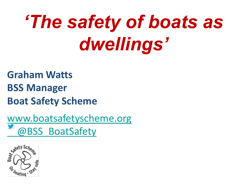# *'The safety of boats as dwellings'*

### **Graham Watts BSS Manager Boat Safety Scheme**

[www.boatsafetyscheme.org](http://www.boatsafetyscheme.org/)  [@BSS\\_BoatSafety](https://twitter.com/BSS_BoatSafety)

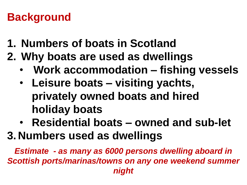# **Background**

- **1. Numbers of boats in Scotland**
- **2. Why boats are used as dwellings**
	- **Work accommodation – fishing vessels**
	- **Leisure boats – visiting yachts, privately owned boats and hired holiday boats**
- **Residential boats – owned and sub-let 3. Numbers used as dwellings**

*Estimate - as many as 6000 persons dwelling aboard in Scottish ports/marinas/towns on any one weekend summer night*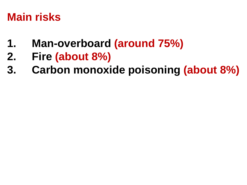### **Main risks**

- **1. Man-overboard (around 75%)**
- **2. Fire (about 8%)**
- **3. Carbon monoxide poisoning (about 8%)**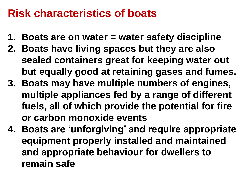#### **Risk characteristics of boats**

- **1. Boats are on water = water safety discipline**
- **2. Boats have living spaces but they are also sealed containers great for keeping water out but equally good at retaining gases and fumes.**
- **3. Boats may have multiple numbers of engines, multiple appliances fed by a range of different fuels, all of which provide the potential for fire or carbon monoxide events**
- **4. Boats are 'unforgiving' and require appropriate equipment properly installed and maintained and appropriate behaviour for dwellers to remain safe**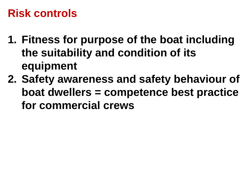## **Risk controls**

- **1. Fitness for purpose of the boat including the suitability and condition of its equipment**
- **2. Safety awareness and safety behaviour of boat dwellers = competence best practice for commercial crews**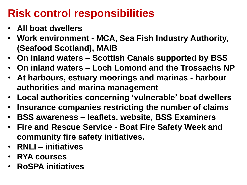# **Risk control responsibilities**

- **All boat dwellers**
- **Work environment - MCA, Sea Fish Industry Authority, (Seafood Scotland), MAIB**
- **On inland waters – Scottish Canals supported by BSS**
- **On inland waters – Loch Lomond and the Trossachs NP**
- **At harbours, estuary moorings and marinas - harbour authorities and marina management**
- **Local authorities concerning 'vulnerable' boat dwellers**
- **Insurance companies restricting the number of claims**
- **BSS awareness – leaflets, website, BSS Examiners**
- **Fire and Rescue Service - Boat Fire Safety Week and community fire safety initiatives.**
- **RNLI – initiatives**
- **RYA courses**
- **RoSPA initiatives**